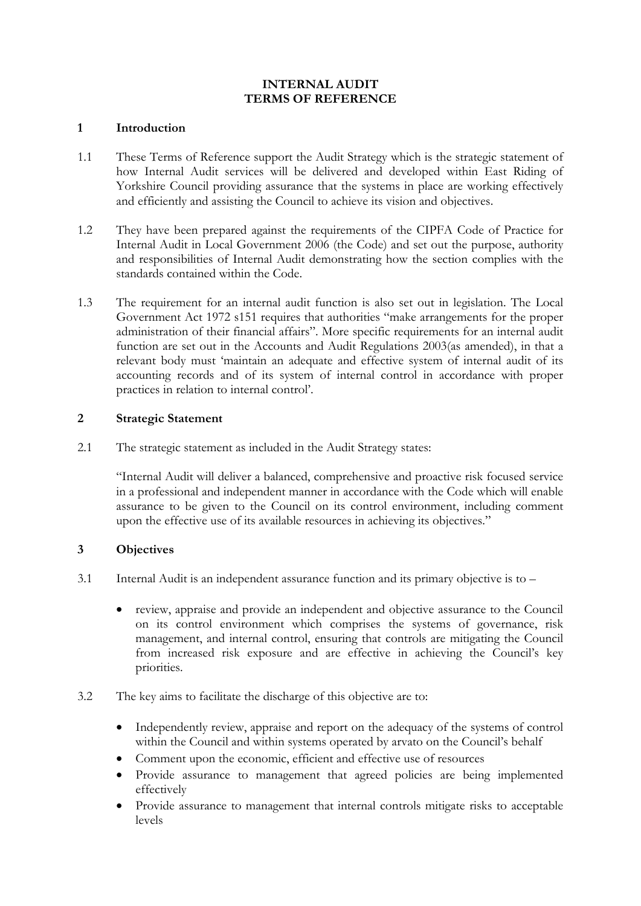### **INTERNAL AUDIT TERMS OF REFERENCE**

### **1 Introduction**

- 1.1 These Terms of Reference support the Audit Strategy which is the strategic statement of how Internal Audit services will be delivered and developed within East Riding of Yorkshire Council providing assurance that the systems in place are working effectively and efficiently and assisting the Council to achieve its vision and objectives.
- 1.2 They have been prepared against the requirements of the CIPFA Code of Practice for Internal Audit in Local Government 2006 (the Code) and set out the purpose, authority and responsibilities of Internal Audit demonstrating how the section complies with the standards contained within the Code.
- 1.3 The requirement for an internal audit function is also set out in legislation. The Local Government Act 1972 s151 requires that authorities "make arrangements for the proper administration of their financial affairs". More specific requirements for an internal audit function are set out in the Accounts and Audit Regulations 2003(as amended), in that a relevant body must 'maintain an adequate and effective system of internal audit of its accounting records and of its system of internal control in accordance with proper practices in relation to internal control'.

# **2 Strategic Statement**

2.1 The strategic statement as included in the Audit Strategy states:

"Internal Audit will deliver a balanced, comprehensive and proactive risk focused service in a professional and independent manner in accordance with the Code which will enable assurance to be given to the Council on its control environment, including comment upon the effective use of its available resources in achieving its objectives."

# **3 Objectives**

- 3.1 Internal Audit is an independent assurance function and its primary objective is to
	- review, appraise and provide an independent and objective assurance to the Council on its control environment which comprises the systems of governance, risk management, and internal control, ensuring that controls are mitigating the Council from increased risk exposure and are effective in achieving the Council's key priorities.
- 3.2 The key aims to facilitate the discharge of this objective are to:
	- Independently review, appraise and report on the adequacy of the systems of control within the Council and within systems operated by arvato on the Council's behalf
	- Comment upon the economic, efficient and effective use of resources
	- Provide assurance to management that agreed policies are being implemented effectively
	- Provide assurance to management that internal controls mitigate risks to acceptable levels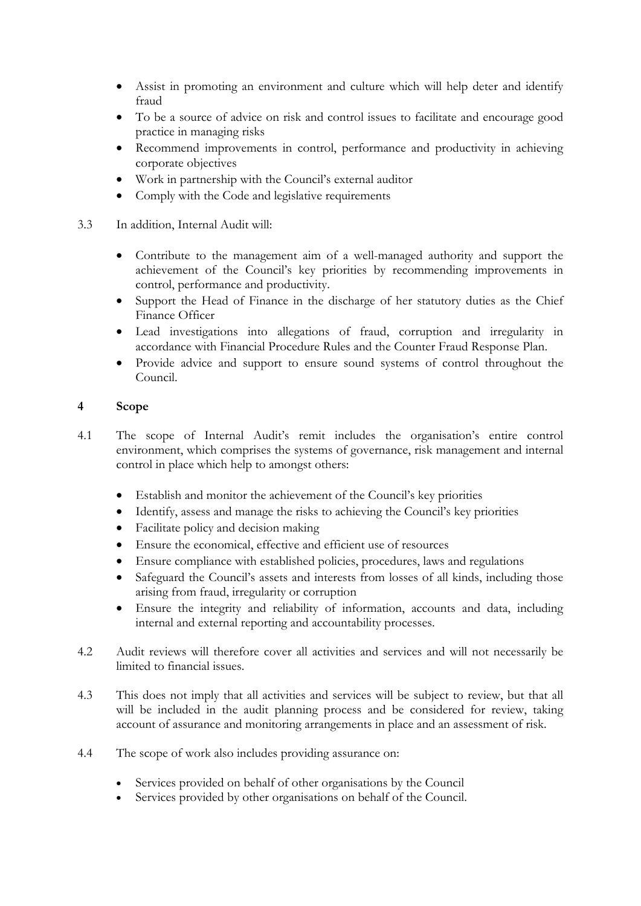- Assist in promoting an environment and culture which will help deter and identify fraud
- To be a source of advice on risk and control issues to facilitate and encourage good practice in managing risks
- Recommend improvements in control, performance and productivity in achieving corporate objectives
- Work in partnership with the Council's external auditor
- Comply with the Code and legislative requirements
- 3.3 In addition, Internal Audit will:
	- Contribute to the management aim of a well-managed authority and support the achievement of the Council's key priorities by recommending improvements in control, performance and productivity.
	- Support the Head of Finance in the discharge of her statutory duties as the Chief Finance Officer
	- Lead investigations into allegations of fraud, corruption and irregularity in accordance with Financial Procedure Rules and the Counter Fraud Response Plan.
	- Provide advice and support to ensure sound systems of control throughout the Council.

## **4 Scope**

- 4.1 The scope of Internal Audit's remit includes the organisation's entire control environment, which comprises the systems of governance, risk management and internal control in place which help to amongst others:
	- Establish and monitor the achievement of the Council's key priorities
	- Identify, assess and manage the risks to achieving the Council's key priorities
	- Facilitate policy and decision making
	- Ensure the economical, effective and efficient use of resources
	- Ensure compliance with established policies, procedures, laws and regulations
	- Safeguard the Council's assets and interests from losses of all kinds, including those arising from fraud, irregularity or corruption
	- Ensure the integrity and reliability of information, accounts and data, including internal and external reporting and accountability processes.
- 4.2 Audit reviews will therefore cover all activities and services and will not necessarily be limited to financial issues.
- 4.3 This does not imply that all activities and services will be subject to review, but that all will be included in the audit planning process and be considered for review, taking account of assurance and monitoring arrangements in place and an assessment of risk.
- 4.4 The scope of work also includes providing assurance on:
	- Services provided on behalf of other organisations by the Council
	- Services provided by other organisations on behalf of the Council.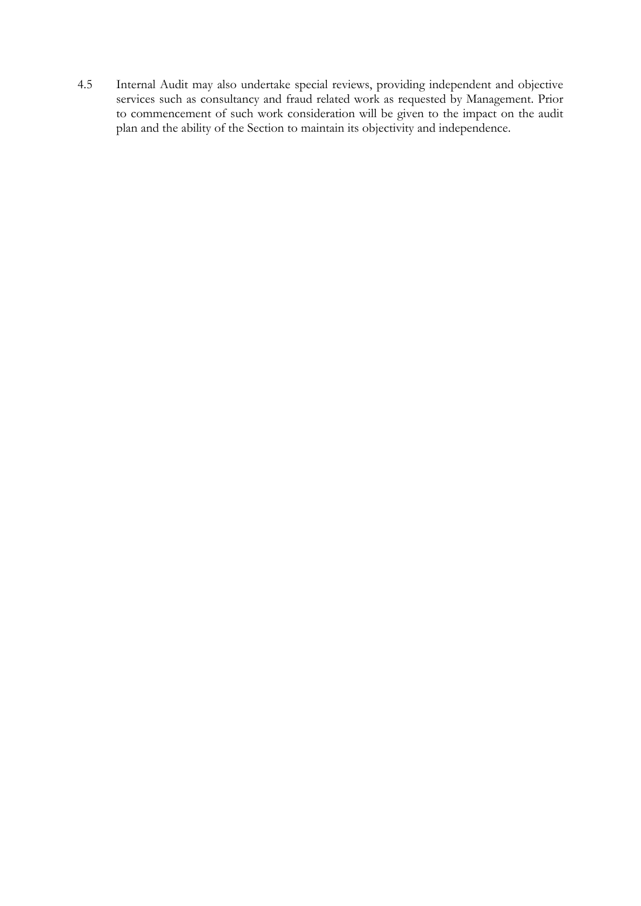4.5 Internal Audit may also undertake special reviews, providing independent and objective services such as consultancy and fraud related work as requested by Management. Prior to commencement of such work consideration will be given to the impact on the audit plan and the ability of the Section to maintain its objectivity and independence.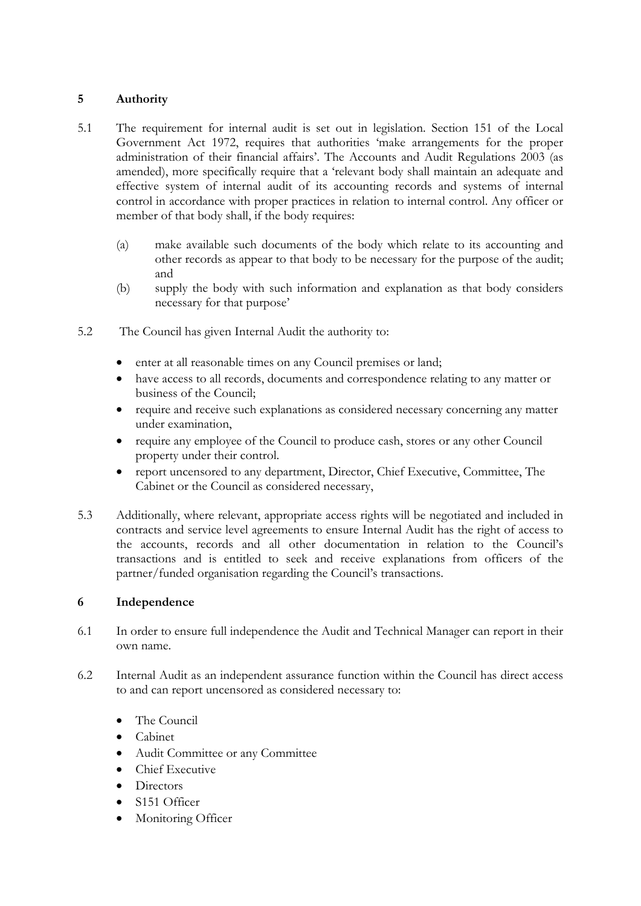# **5 Authority**

- 5.1 The requirement for internal audit is set out in legislation. Section 151 of the Local Government Act 1972, requires that authorities 'make arrangements for the proper administration of their financial affairs'. The Accounts and Audit Regulations 2003 (as amended), more specifically require that a 'relevant body shall maintain an adequate and effective system of internal audit of its accounting records and systems of internal control in accordance with proper practices in relation to internal control. Any officer or member of that body shall, if the body requires:
	- (a) make available such documents of the body which relate to its accounting and other records as appear to that body to be necessary for the purpose of the audit; and
	- (b) supply the body with such information and explanation as that body considers necessary for that purpose'
- 5.2 The Council has given Internal Audit the authority to:
	- enter at all reasonable times on any Council premises or land;
	- have access to all records, documents and correspondence relating to any matter or business of the Council;
	- require and receive such explanations as considered necessary concerning any matter under examination,
	- require any employee of the Council to produce cash, stores or any other Council property under their control.
	- report uncensored to any department, Director, Chief Executive, Committee, The Cabinet or the Council as considered necessary,
- 5.3 Additionally, where relevant, appropriate access rights will be negotiated and included in contracts and service level agreements to ensure Internal Audit has the right of access to the accounts, records and all other documentation in relation to the Council's transactions and is entitled to seek and receive explanations from officers of the partner/funded organisation regarding the Council's transactions.

### **6 Independence**

- 6.1 In order to ensure full independence the Audit and Technical Manager can report in their own name.
- 6.2 Internal Audit as an independent assurance function within the Council has direct access to and can report uncensored as considered necessary to:
	- The Council
	- Cabinet
	- Audit Committee or any Committee
	- Chief Executive
	- **Directors**
	- S151 Officer
	- Monitoring Officer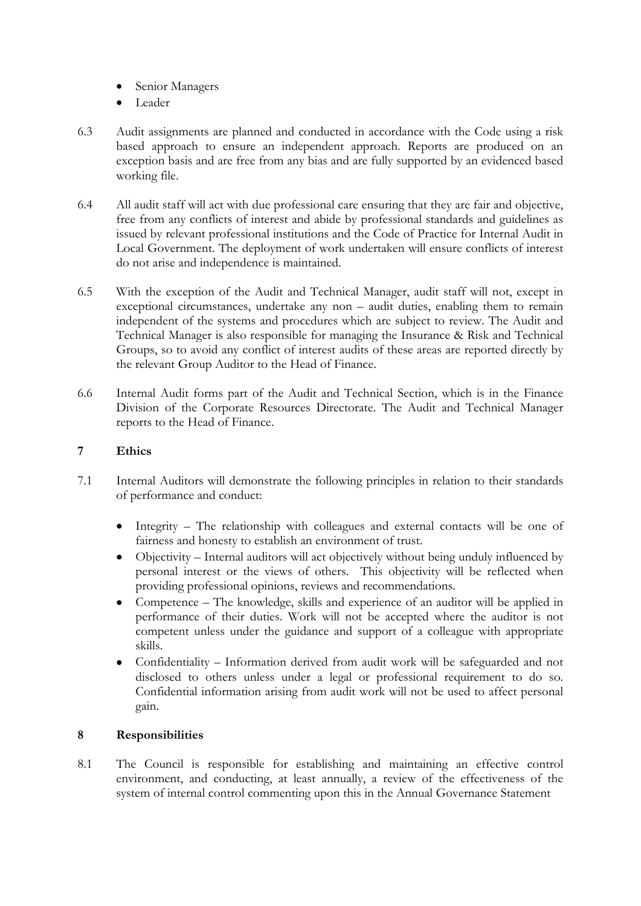- Senior Managers
- Leader
- 6.3 Audit assignments are planned and conducted in accordance with the Code using a risk based approach to ensure an independent approach. Reports are produced on an exception basis and are free from any bias and are fully supported by an evidenced based working file.
- 6.4 All audit staff will act with due professional care ensuring that they are fair and objective, free from any conflicts of interest and abide by professional standards and guidelines as issued by relevant professional institutions and the Code of Practice for Internal Audit in Local Government. The deployment of work undertaken will ensure conflicts of interest do not arise and independence is maintained.
- 6.5 With the exception of the Audit and Technical Manager, audit staff will not, except in exceptional circumstances, undertake any non – audit duties, enabling them to remain independent of the systems and procedures which are subject to review. The Audit and Technical Manager is also responsible for managing the Insurance & Risk and Technical Groups, so to avoid any conflict of interest audits of these areas are reported directly by the relevant Group Auditor to the Head of Finance.
- 6.6 Internal Audit forms part of the Audit and Technical Section, which is in the Finance Division of the Corporate Resources Directorate. The Audit and Technical Manager reports to the Head of Finance.

### **7 Ethics**

- 7.1 Internal Auditors will demonstrate the following principles in relation to their standards of performance and conduct:
	- Integrity The relationship with colleagues and external contacts will be one of fairness and honesty to establish an environment of trust.
	- Objectivity Internal auditors will act objectively without being unduly influenced by personal interest or the views of others. This objectivity will be reflected when providing professional opinions, reviews and recommendations.
	- Competence The knowledge, skills and experience of an auditor will be applied in performance of their duties. Work will not be accepted where the auditor is not competent unless under the guidance and support of a colleague with appropriate skills.
	- Confidentiality Information derived from audit work will be safeguarded and not disclosed to others unless under a legal or professional requirement to do so. Confidential information arising from audit work will not be used to affect personal gain.

### **8 Responsibilities**

8.1 The Council is responsible for establishing and maintaining an effective control environment, and conducting, at least annually, a review of the effectiveness of the system of internal control commenting upon this in the Annual Governance Statement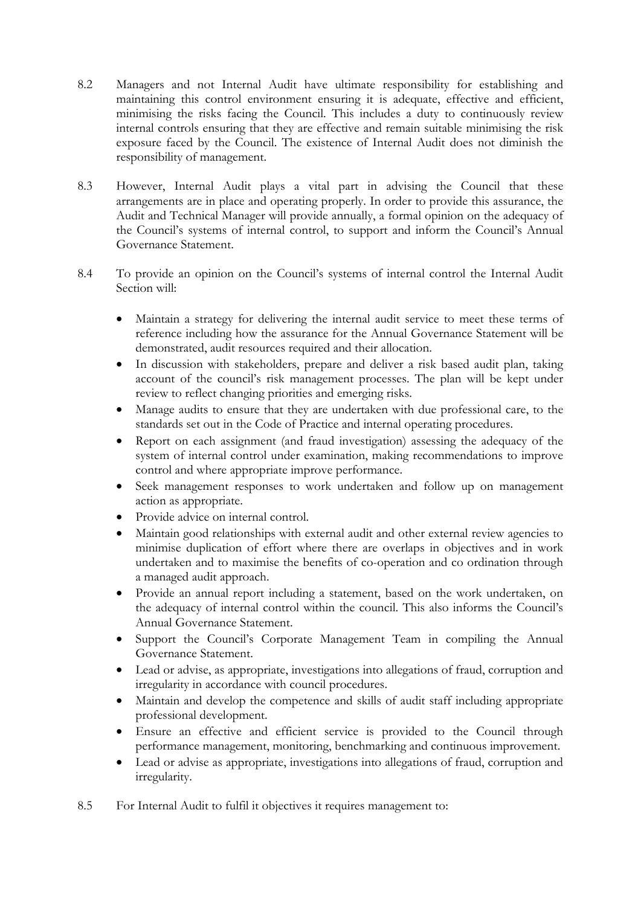- 8.2 Managers and not Internal Audit have ultimate responsibility for establishing and maintaining this control environment ensuring it is adequate, effective and efficient, minimising the risks facing the Council. This includes a duty to continuously review internal controls ensuring that they are effective and remain suitable minimising the risk exposure faced by the Council. The existence of Internal Audit does not diminish the responsibility of management.
- 8.3 However, Internal Audit plays a vital part in advising the Council that these arrangements are in place and operating properly. In order to provide this assurance, the Audit and Technical Manager will provide annually, a formal opinion on the adequacy of the Council's systems of internal control, to support and inform the Council's Annual Governance Statement.
- 8.4 To provide an opinion on the Council's systems of internal control the Internal Audit Section will:
	- Maintain a strategy for delivering the internal audit service to meet these terms of reference including how the assurance for the Annual Governance Statement will be demonstrated, audit resources required and their allocation.
	- In discussion with stakeholders, prepare and deliver a risk based audit plan, taking account of the council's risk management processes. The plan will be kept under review to reflect changing priorities and emerging risks.
	- Manage audits to ensure that they are undertaken with due professional care, to the standards set out in the Code of Practice and internal operating procedures.
	- Report on each assignment (and fraud investigation) assessing the adequacy of the system of internal control under examination, making recommendations to improve control and where appropriate improve performance.
	- Seek management responses to work undertaken and follow up on management action as appropriate.
	- Provide advice on internal control.
	- Maintain good relationships with external audit and other external review agencies to minimise duplication of effort where there are overlaps in objectives and in work undertaken and to maximise the benefits of co-operation and co ordination through a managed audit approach.
	- Provide an annual report including a statement, based on the work undertaken, on the adequacy of internal control within the council. This also informs the Council's Annual Governance Statement.
	- Support the Council's Corporate Management Team in compiling the Annual Governance Statement.
	- Lead or advise, as appropriate, investigations into allegations of fraud, corruption and irregularity in accordance with council procedures.
	- Maintain and develop the competence and skills of audit staff including appropriate professional development.
	- Ensure an effective and efficient service is provided to the Council through performance management, monitoring, benchmarking and continuous improvement.
	- Lead or advise as appropriate, investigations into allegations of fraud, corruption and irregularity.
- 8.5 For Internal Audit to fulfil it objectives it requires management to: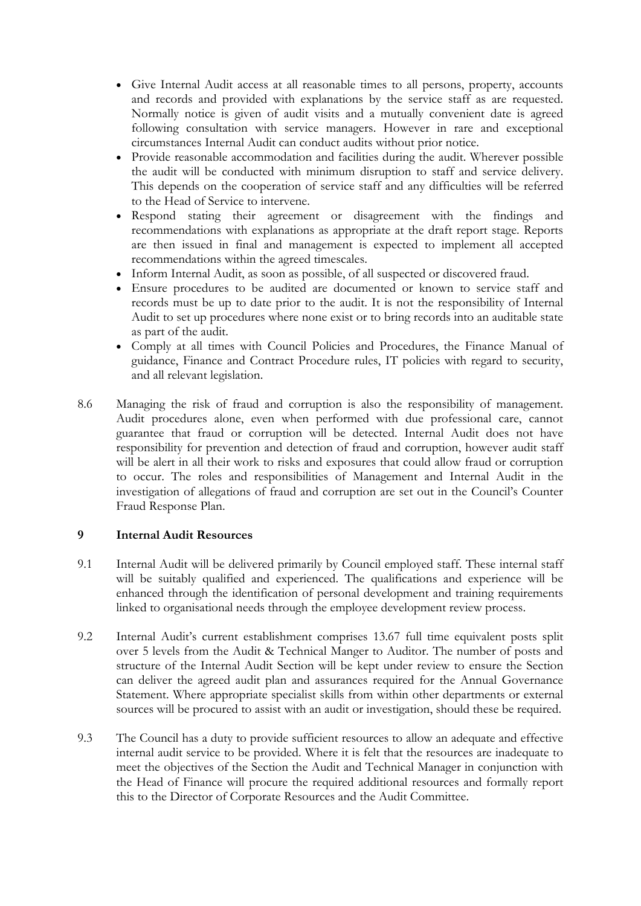- Give Internal Audit access at all reasonable times to all persons, property, accounts and records and provided with explanations by the service staff as are requested. Normally notice is given of audit visits and a mutually convenient date is agreed following consultation with service managers. However in rare and exceptional circumstances Internal Audit can conduct audits without prior notice.
- Provide reasonable accommodation and facilities during the audit. Wherever possible the audit will be conducted with minimum disruption to staff and service delivery. This depends on the cooperation of service staff and any difficulties will be referred to the Head of Service to intervene.
- Respond stating their agreement or disagreement with the findings and recommendations with explanations as appropriate at the draft report stage. Reports are then issued in final and management is expected to implement all accepted recommendations within the agreed timescales.
- Inform Internal Audit, as soon as possible, of all suspected or discovered fraud.
- Ensure procedures to be audited are documented or known to service staff and records must be up to date prior to the audit. It is not the responsibility of Internal Audit to set up procedures where none exist or to bring records into an auditable state as part of the audit.
- Comply at all times with Council Policies and Procedures, the Finance Manual of guidance, Finance and Contract Procedure rules, IT policies with regard to security, and all relevant legislation.
- 8.6 Managing the risk of fraud and corruption is also the responsibility of management. Audit procedures alone, even when performed with due professional care, cannot guarantee that fraud or corruption will be detected. Internal Audit does not have responsibility for prevention and detection of fraud and corruption, however audit staff will be alert in all their work to risks and exposures that could allow fraud or corruption to occur. The roles and responsibilities of Management and Internal Audit in the investigation of allegations of fraud and corruption are set out in the Council's Counter Fraud Response Plan.

### **9 Internal Audit Resources**

- 9.1 Internal Audit will be delivered primarily by Council employed staff. These internal staff will be suitably qualified and experienced. The qualifications and experience will be enhanced through the identification of personal development and training requirements linked to organisational needs through the employee development review process.
- 9.2 Internal Audit's current establishment comprises 13.67 full time equivalent posts split over 5 levels from the Audit & Technical Manger to Auditor. The number of posts and structure of the Internal Audit Section will be kept under review to ensure the Section can deliver the agreed audit plan and assurances required for the Annual Governance Statement. Where appropriate specialist skills from within other departments or external sources will be procured to assist with an audit or investigation, should these be required.
- 9.3 The Council has a duty to provide sufficient resources to allow an adequate and effective internal audit service to be provided. Where it is felt that the resources are inadequate to meet the objectives of the Section the Audit and Technical Manager in conjunction with the Head of Finance will procure the required additional resources and formally report this to the Director of Corporate Resources and the Audit Committee.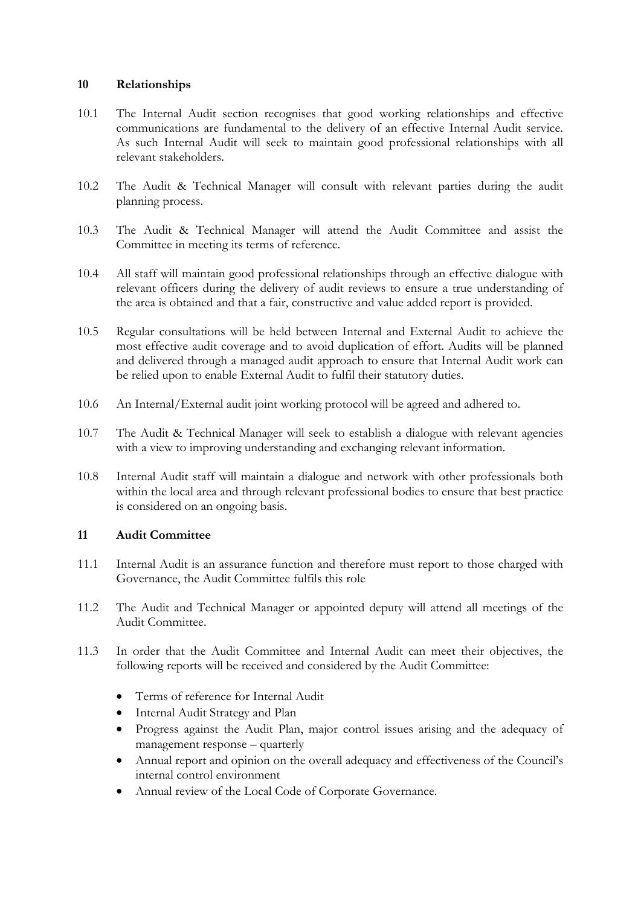#### **10 Relationships**

- 10.1 The Internal Audit section recognises that good working relationships and effective communications are fundamental to the delivery of an effective Internal Audit service. As such Internal Audit will seek to maintain good professional relationships with all relevant stakeholders.
- 10.2 The Audit & Technical Manager will consult with relevant parties during the audit planning process.
- 10.3 The Audit & Technical Manager will attend the Audit Committee and assist the Committee in meeting its terms of reference.
- 10.4 All staff will maintain good professional relationships through an effective dialogue with relevant officers during the delivery of audit reviews to ensure a true understanding of the area is obtained and that a fair, constructive and value added report is provided.
- 10.5 Regular consultations will be held between Internal and External Audit to achieve the most effective audit coverage and to avoid duplication of effort. Audits will be planned and delivered through a managed audit approach to ensure that Internal Audit work can be relied upon to enable External Audit to fulfil their statutory duties.
- 10.6 An Internal/External audit joint working protocol will be agreed and adhered to.
- 10.7 The Audit & Technical Manager will seek to establish a dialogue with relevant agencies with a view to improving understanding and exchanging relevant information.
- 10.8 Internal Audit staff will maintain a dialogue and network with other professionals both within the local area and through relevant professional bodies to ensure that best practice is considered on an ongoing basis.

### **11 Audit Committee**

- 11.1 Internal Audit is an assurance function and therefore must report to those charged with Governance, the Audit Committee fulfils this role
- 11.2 The Audit and Technical Manager or appointed deputy will attend all meetings of the Audit Committee.
- 11.3 In order that the Audit Committee and Internal Audit can meet their objectives, the following reports will be received and considered by the Audit Committee:
	- Terms of reference for Internal Audit
	- Internal Audit Strategy and Plan
	- Progress against the Audit Plan, major control issues arising and the adequacy of management response – quarterly
	- Annual report and opinion on the overall adequacy and effectiveness of the Council's internal control environment
	- Annual review of the Local Code of Corporate Governance.